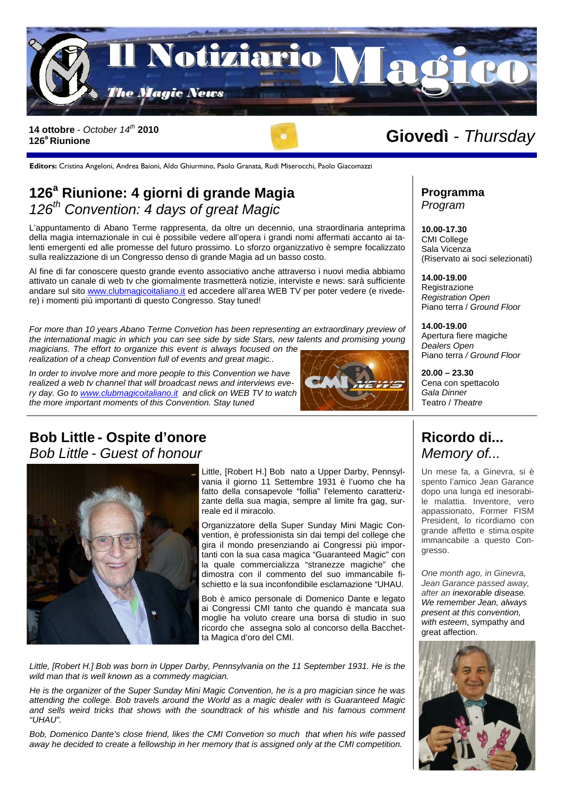

### 14 ottobre *- October 14<sup>th</sup>* 2010<br>126<sup>ª</sup> Riunione **126a Riunione**

**Editors:** Cristina Angeloni, Andrea Baioni, Aldo Ghiurmino, Paolo Granata, Rudi Miserocchi, Paolo Giacomazzi

# **126<sup>a</sup> Riunione: 4 giorni di grande Magia**  *126th Convention: 4 days of great Magic*

L'appuntamento di Abano Terme rappresenta, da oltre un decennio, una straordinaria anteprima della magia internazionale in cui è possibile vedere all'opera i grandi nomi affermati accanto ai talenti emergenti ed alle promesse del futuro prossimo. Lo sforzo organizzativo è sempre focalizzato sulla realizzazione di un Congresso denso di grande Magia ad un basso costo.

Al fine di far conoscere questo grande evento associativo anche attraverso i nuovi media abbiamo attivato un canale di web tv che giornalmente trasmetterà notizie, interviste e news: sarà sufficiente andare sul sito www.clubmagicoitaliano.it ed accedere all'area WEB TV per poter vedere (e rivedere) i momenti più importanti di questo Congresso. Stay tuned!

*For more than 10 years Abano Terme Convetion has been representing an extraordinary preview of the international magic in which you can see side by side Stars, new talents and promising young magicians. The effort to organize this event is always focused on the realization of a cheap Convention full of events and great magic..* 

*In order to involve more and more people to this Convention we have realized a web tv channel that will broadcast news and interviews every day. Go to www.clubmagicoitaliano.it and click on WEB TV to watch the more important moments of this Convention. Stay tuned* 



## **Bob Little - Ospite d'onore**  *Bob Little - Guest of honour*



Little, [Robert H.] Bob nato a Upper Darby, Pennsylvania il giorno 11 Settembre 1931 è l'uomo che ha fatto della consapevole "follia" l'elemento caratterizzante della sua magia, sempre al limite fra gag, surreale ed il miracolo.

Organizzatore della Super Sunday Mini Magic Convention, è professionista sin dai tempi del college che gira il mondo presenziando ai Congressi più importanti con la sua casa magica "Guaranteed Magic" con la quale commercializza "stranezze magiche" che dimostra con il commento del suo immancabile fischietto e la sua inconfondibile esclamazione "UHAU.

Bob è amico personale di Domenico Dante e legato ai Congressi CMI tanto che quando è mancata sua moglie ha voluto creare una borsa di studio in suo ricordo che assegna solo al concorso della Bacchetta Magica d'oro del CMI.

Little, [Robert H.] Bob was born in Upper Darby, Pennsylvania on the 11 September 1931. He is the *wild man that is well known as a commedy magician.* 

*He is the organizer of the Super Sunday Mini Magic Convention, he is a pro magician since he was attending the college. Bob travels around the World as a magic dealer with is Guaranteed Magic and sells weird tricks that shows with the soundtrack of his whistle and his famous comment "UHAU".* 

*Bob, Domenico Dante's close friend, likes the CMI Convetion so much that when his wife passed away he decided to create a fellowship in her memory that is assigned only at the CMI competition.* 

**Programma**  *Program* 

**10.00-17.30**  CMI College Sala Vicenza (Riservato ai soci selezionati)

**14.00-19.00**  Registrazione *Registration Open*  Piano terra / *Ground Floor* 

**14.00-19.00**  Apertura fiere magiche *Dealers Open*  Piano terra */ Ground Floor* 

**20.00 – 23.30**  Cena con spettacolo *Gala Dinner*  Teatro / *Theatre* 

# **Ricordo di...**  *Memory of...*

Un mese fa, a Ginevra, si è spento l'amico Jean Garance dopo una lunga ed inesorabile malattia. Inventore, vero appassionato, Former FISM President, lo ricordiamo con grande affetto e stima.ospite immancabile a questo Congresso.

*One month ago, in Ginevra, Jean Garance passed away, after an inexorable disease. We remember Jean, always present at this convention, with esteem*, sympathy and great affection.